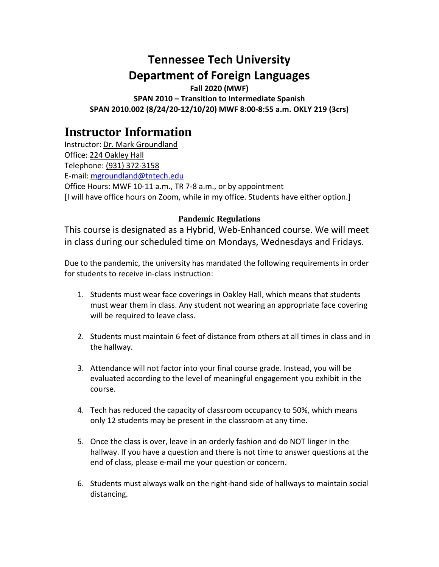# **Tennessee Tech University Department of Foreign Languages**

**Fall 2020 (MWF) SPAN 2010 – Transition to Intermediate Spanish SPAN 2010.002 (8/24/20-12/10/20) MWF 8:00-8:55 a.m. OKLY 219 (3crs)**

# **Instructor Information**

Instructor: Dr. Mark Groundland Office: 224 Oakley Hall Telephone: (931) 372-3158 E-mail: [mgroundland@tntech.edu](mailto:mgroundland@tntech.edu) Office Hours: MWF 10-11 a.m., TR 7-8 a.m., or by appointment [I will have office hours on Zoom, while in my office. Students have either option.]

# **Pandemic Regulations**

This course is designated as a Hybrid, Web-Enhanced course. We will meet in class during our scheduled time on Mondays, Wednesdays and Fridays.

Due to the pandemic, the university has mandated the following requirements in order for students to receive in-class instruction:

- 1. Students must wear face coverings in Oakley Hall, which means that students must wear them in class. Any student not wearing an appropriate face covering will be required to leave class.
- 2. Students must maintain 6 feet of distance from others at all times in class and in the hallway.
- 3. Attendance will not factor into your final course grade. Instead, you will be evaluated according to the level of meaningful engagement you exhibit in the course.
- 4. Tech has reduced the capacity of classroom occupancy to 50%, which means only 12 students may be present in the classroom at any time.
- 5. Once the class is over, leave in an orderly fashion and do NOT linger in the hallway. If you have a question and there is not time to answer questions at the end of class, please e-mail me your question or concern.
- 6. Students must always walk on the right-hand side of hallways to maintain social distancing.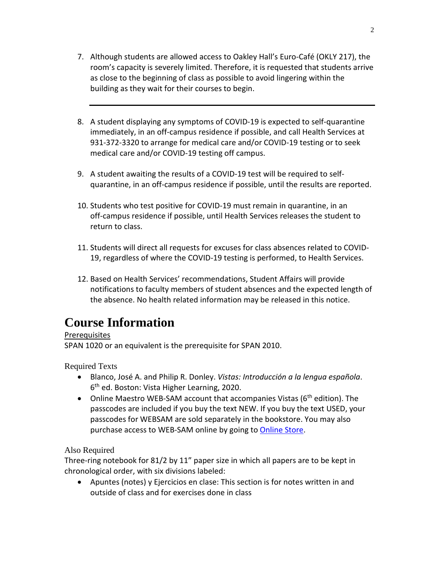- 7. Although students are allowed access to Oakley Hall's Euro-Café (OKLY 217), the room's capacity is severely limited. Therefore, it is requested that students arrive as close to the beginning of class as possible to avoid lingering within the building as they wait for their courses to begin.
- 8. A student displaying any symptoms of COVID-19 is expected to self-quarantine immediately, in an off-campus residence if possible, and call Health Services at 931-372-3320 to arrange for medical care and/or COVID-19 testing or to seek medical care and/or COVID-19 testing off campus.
- 9. A student awaiting the results of a COVID-19 test will be required to selfquarantine, in an off-campus residence if possible, until the results are reported.
- 10. Students who test positive for COVID-19 must remain in quarantine, in an off-campus residence if possible, until Health Services releases the student to return to class.
- 11. Students will direct all requests for excuses for class absences related to COVID-19, regardless of where the COVID-19 testing is performed, to Health Services.
- 12. Based on Health Services' recommendations, Student Affairs will provide notifications to faculty members of student absences and the expected length of the absence. No health related information may be released in this notice.

# **Course Information**

# **Prerequisites**

SPAN 1020 or an equivalent is the prerequisite for SPAN 2010.

Required Texts

- Blanco, José A. and Philip R. Donley. *Vistas: Introducción a la lengua española*. 6th ed. Boston: Vista Higher Learning, 2020.
- Online Maestro WEB-SAM account that accompanies Vistas (6<sup>th</sup> edition). The passcodes are included if you buy the text NEW. If you buy the text USED, your passcodes for WEBSAM are sold separately in the bookstore. You may also purchase access to WEB-SAM online by going to [Online Store.](http://vistahigherlearning.com/store/tntech.htm/)

# Also Required

Three-ring notebook for 81/2 by 11" paper size in which all papers are to be kept in chronological order, with six divisions labeled:

• Apuntes (notes) y Ejercicios en clase: This section is for notes written in and outside of class and for exercises done in class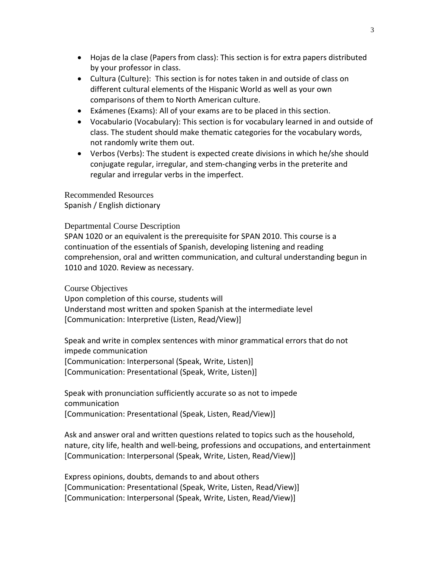- Hojas de la clase (Papers from class): This section is for extra papers distributed by your professor in class.
- Cultura (Culture): This section is for notes taken in and outside of class on different cultural elements of the Hispanic World as well as your own comparisons of them to North American culture.
- Exámenes (Exams): All of your exams are to be placed in this section.
- Vocabulario (Vocabulary): This section is for vocabulary learned in and outside of class. The student should make thematic categories for the vocabulary words, not randomly write them out.
- Verbos (Verbs): The student is expected create divisions in which he/she should conjugate regular, irregular, and stem-changing verbs in the preterite and regular and irregular verbs in the imperfect.

Recommended Resources Spanish / English dictionary

Departmental Course Description

SPAN 1020 or an equivalent is the prerequisite for SPAN 2010. This course is a continuation of the essentials of Spanish, developing listening and reading comprehension, oral and written communication, and cultural understanding begun in 1010 and 1020. Review as necessary.

Course Objectives

Upon completion of this course, students will Understand most written and spoken Spanish at the intermediate level [Communication: Interpretive (Listen, Read/View)]

Speak and write in complex sentences with minor grammatical errors that do not impede communication [Communication: Interpersonal (Speak, Write, Listen)] [Communication: Presentational (Speak, Write, Listen)]

Speak with pronunciation sufficiently accurate so as not to impede communication [Communication: Presentational (Speak, Listen, Read/View)]

Ask and answer oral and written questions related to topics such as the household, nature, city life, health and well-being, professions and occupations, and entertainment [Communication: Interpersonal (Speak, Write, Listen, Read/View)]

Express opinions, doubts, demands to and about others [Communication: Presentational (Speak, Write, Listen, Read/View)] [Communication: Interpersonal (Speak, Write, Listen, Read/View)]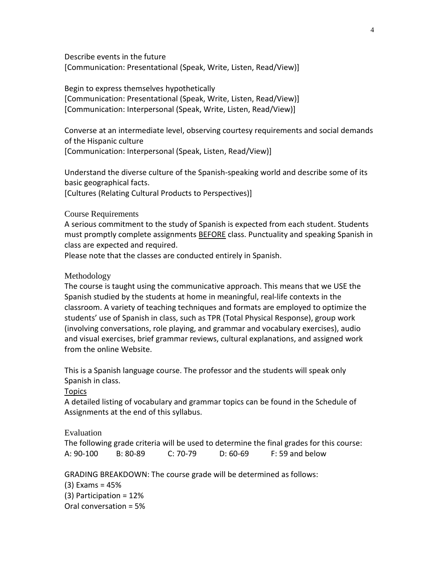Describe events in the future [Communication: Presentational (Speak, Write, Listen, Read/View)]

Begin to express themselves hypothetically [Communication: Presentational (Speak, Write, Listen, Read/View)] [Communication: Interpersonal (Speak, Write, Listen, Read/View)]

Converse at an intermediate level, observing courtesy requirements and social demands of the Hispanic culture [Communication: Interpersonal (Speak, Listen, Read/View)]

Understand the diverse culture of the Spanish-speaking world and describe some of its basic geographical facts.

[Cultures (Relating Cultural Products to Perspectives)]

## Course Requirements

A serious commitment to the study of Spanish is expected from each student. Students must promptly complete assignments **BEFORE** class. Punctuality and speaking Spanish in class are expected and required.

Please note that the classes are conducted entirely in Spanish.

## Methodology

The course is taught using the communicative approach. This means that we USE the Spanish studied by the students at home in meaningful, real-life contexts in the classroom. A variety of teaching techniques and formats are employed to optimize the students' use of Spanish in class, such as TPR (Total Physical Response), group work (involving conversations, role playing, and grammar and vocabulary exercises), audio and visual exercises, brief grammar reviews, cultural explanations, and assigned work from the online Website.

This is a Spanish language course. The professor and the students will speak only Spanish in class.

**Topics** 

A detailed listing of vocabulary and grammar topics can be found in the Schedule of Assignments at the end of this syllabus.

## Evaluation

The following grade criteria will be used to determine the final grades for this course: A: 90-100 B: 80-89 C: 70-79 D: 60-69 F: 59 and below

GRADING BREAKDOWN: The course grade will be determined as follows:

(3) Exams = 45%

(3) Participation = 12% Oral conversation = 5%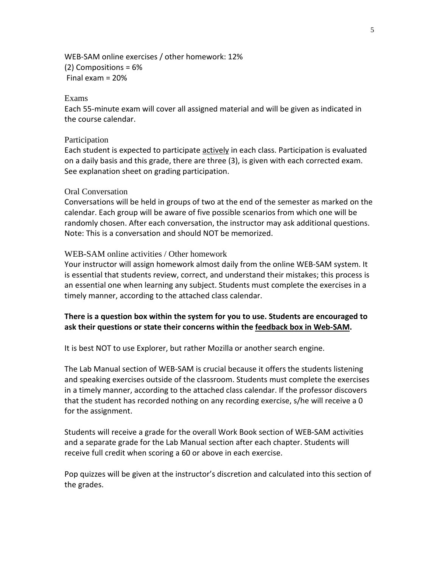WEB-SAM online exercises / other homework: 12% (2) Compositions = 6% Final exam = 20%

## Exams

Each 55-minute exam will cover all assigned material and will be given as indicated in the course calendar.

#### Participation

Each student is expected to participate actively in each class. Participation is evaluated on a daily basis and this grade, there are three (3), is given with each corrected exam. See explanation sheet on grading participation.

#### Oral Conversation

Conversations will be held in groups of two at the end of the semester as marked on the calendar. Each group will be aware of five possible scenarios from which one will be randomly chosen. After each conversation, the instructor may ask additional questions. Note: This is a conversation and should NOT be memorized.

### WEB-SAM online activities / Other homework

Your instructor will assign homework almost daily from the online WEB-SAM system. It is essential that students review, correct, and understand their mistakes; this process is an essential one when learning any subject. Students must complete the exercises in a timely manner, according to the attached class calendar.

## **There is a question box within the system for you to use. Students are encouraged to ask their questions or state their concerns within the feedback box in Web-SAM.**

It is best NOT to use Explorer, but rather Mozilla or another search engine.

The Lab Manual section of WEB-SAM is crucial because it offers the students listening and speaking exercises outside of the classroom. Students must complete the exercises in a timely manner, according to the attached class calendar. If the professor discovers that the student has recorded nothing on any recording exercise, s/he will receive a 0 for the assignment.

Students will receive a grade for the overall Work Book section of WEB-SAM activities and a separate grade for the Lab Manual section after each chapter. Students will receive full credit when scoring a 60 or above in each exercise.

Pop quizzes will be given at the instructor's discretion and calculated into this section of the grades.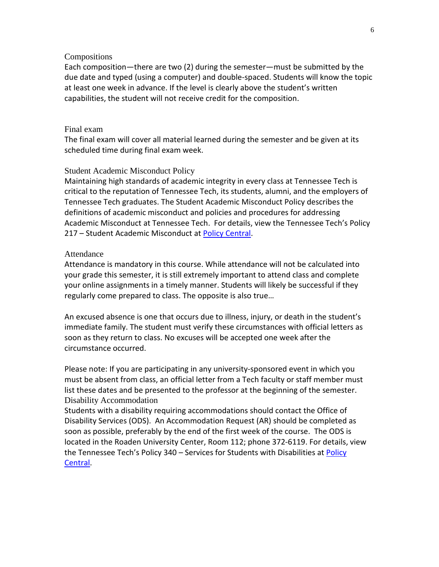### Compositions

Each composition—there are two (2) during the semester—must be submitted by the due date and typed (using a computer) and double-spaced. Students will know the topic at least one week in advance. If the level is clearly above the student's written capabilities, the student will not receive credit for the composition.

### Final exam

The final exam will cover all material learned during the semester and be given at its scheduled time during final exam week.

## Student Academic Misconduct Policy

Maintaining high standards of academic integrity in every class at Tennessee Tech is critical to the reputation of Tennessee Tech, its students, alumni, and the employers of Tennessee Tech graduates. The Student Academic Misconduct Policy describes the definitions of academic misconduct and policies and procedures for addressing Academic Misconduct at Tennessee Tech. For details, view the Tennessee Tech's Policy 217 – Student Academic Misconduct at [Policy Central.](https://tntech.policytech.com/dotNet/noAuth/login.aspx?ReturnUrl=%2fDefault.aspx%3fauto%3dfalse&auto=false&public=true)

#### Attendance

Attendance is mandatory in this course. While attendance will not be calculated into your grade this semester, it is still extremely important to attend class and complete your online assignments in a timely manner. Students will likely be successful if they regularly come prepared to class. The opposite is also true…

An excused absence is one that occurs due to illness, injury, or death in the student's immediate family. The student must verify these circumstances with official letters as soon as they return to class. No excuses will be accepted one week after the circumstance occurred.

Please note: If you are participating in any university-sponsored event in which you must be absent from class, an official letter from a Tech faculty or staff member must list these dates and be presented to the professor at the beginning of the semester. Disability Accommodation

Students with a disability requiring accommodations should contact the Office of Disability Services (ODS). An Accommodation Request (AR) should be completed as soon as possible, preferably by the end of the first week of the course. The ODS is located in the Roaden University Center, Room 112; phone 372-6119. For details, view the Tennessee Tech's [Policy](https://tntech.policytech.com/dotNet/noAuth/login.aspx?ReturnUrl=%2fDefault.aspx%3fauto%3dfalse&auto=false&public=true) 340 - Services for Students with Disabilities at Policy [Central.](https://tntech.policytech.com/dotNet/noAuth/login.aspx?ReturnUrl=%2fDefault.aspx%3fauto%3dfalse&auto=false&public=true)